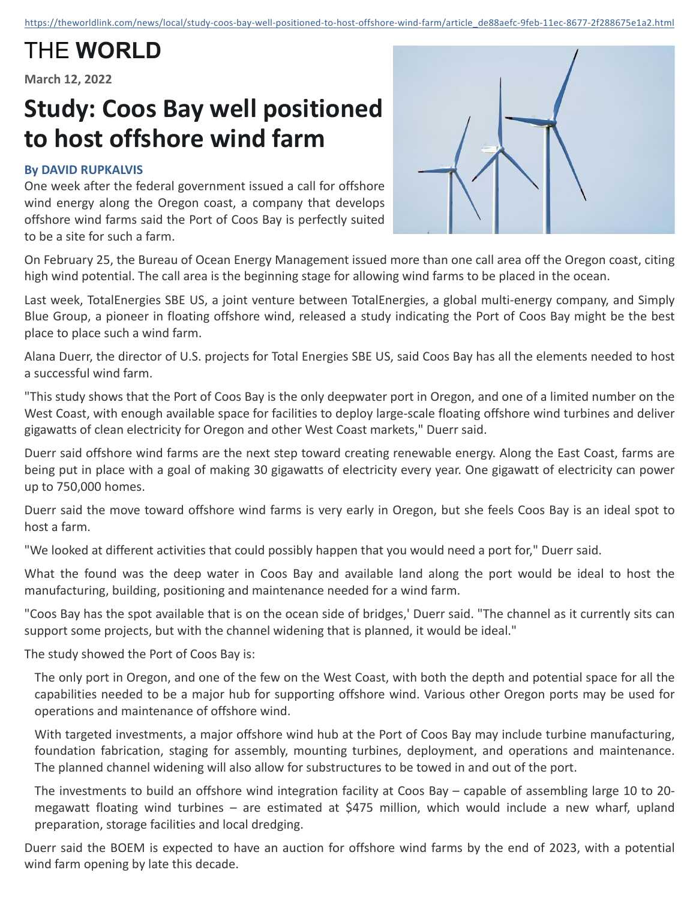## THE **WORLD**

**March 12, 2022**

## **Study: Coos Bay well positioned to host offshore wind farm**

## **By DAVID RUPKALVIS**

One week after the federal government issued a call for offshore wind energy along the Oregon coast, a company that develops offshore wind farms said the Port of Coos Bay is perfectly suited to be a site for such a farm.



On February 25, the Bureau of Ocean Energy Management issued more than one call area off the Oregon coast, citing high wind potential. The call area is the beginning stage for allowing wind farms to be placed in the ocean.

Last week, TotalEnergies SBE US, a joint venture between TotalEnergies, a global multi-energy company, and Simply Blue Group, a pioneer in floating offshore wind, released a study indicating the Port of Coos Bay might be the best place to place such a wind farm.

Alana Duerr, the director of U.S. projects for Total Energies SBE US, said Coos Bay has all the elements needed to host a successful wind farm.

"This study shows that the Port of Coos Bay is the only deepwater port in Oregon, and one of a limited number on the West Coast, with enough available space for facilities to deploy large-scale floating offshore wind turbines and deliver gigawatts of clean electricity for Oregon and other West Coast markets," Duerr said.

Duerr said offshore wind farms are the next step toward creating renewable energy. Along the East Coast, farms are being put in place with a goal of making 30 gigawatts of electricity every year. One gigawatt of electricity can power up to 750,000 homes.

Duerr said the move toward offshore wind farms is very early in Oregon, but she feels Coos Bay is an ideal spot to host a farm.

"We looked at different activities that could possibly happen that you would need a port for," Duerr said.

What the found was the deep water in Coos Bay and available land along the port would be ideal to host the manufacturing, building, positioning and maintenance needed for a wind farm.

"Coos Bay has the spot available that is on the ocean side of bridges,' Duerr said. "The channel as it currently sits can support some projects, but with the channel widening that is planned, it would be ideal."

The study showed the Port of Coos Bay is:

The only port in Oregon, and one of the few on the West Coast, with both the depth and potential space for all the capabilities needed to be a major hub for supporting offshore wind. Various other Oregon ports may be used for operations and maintenance of offshore wind.

With targeted investments, a major offshore wind hub at the Port of Coos Bay may include turbine manufacturing, foundation fabrication, staging for assembly, mounting turbines, deployment, and operations and maintenance. The planned channel widening will also allow for substructures to be towed in and out of the port.

The investments to build an offshore wind integration facility at Coos Bay – capable of assembling large 10 to 20megawatt floating wind turbines – are estimated at \$475 million, which would include a new wharf, upland preparation, storage facilities and local dredging.

Duerr said the BOEM is expected to have an auction for offshore wind farms by the end of 2023, with a potential wind farm opening by late this decade.